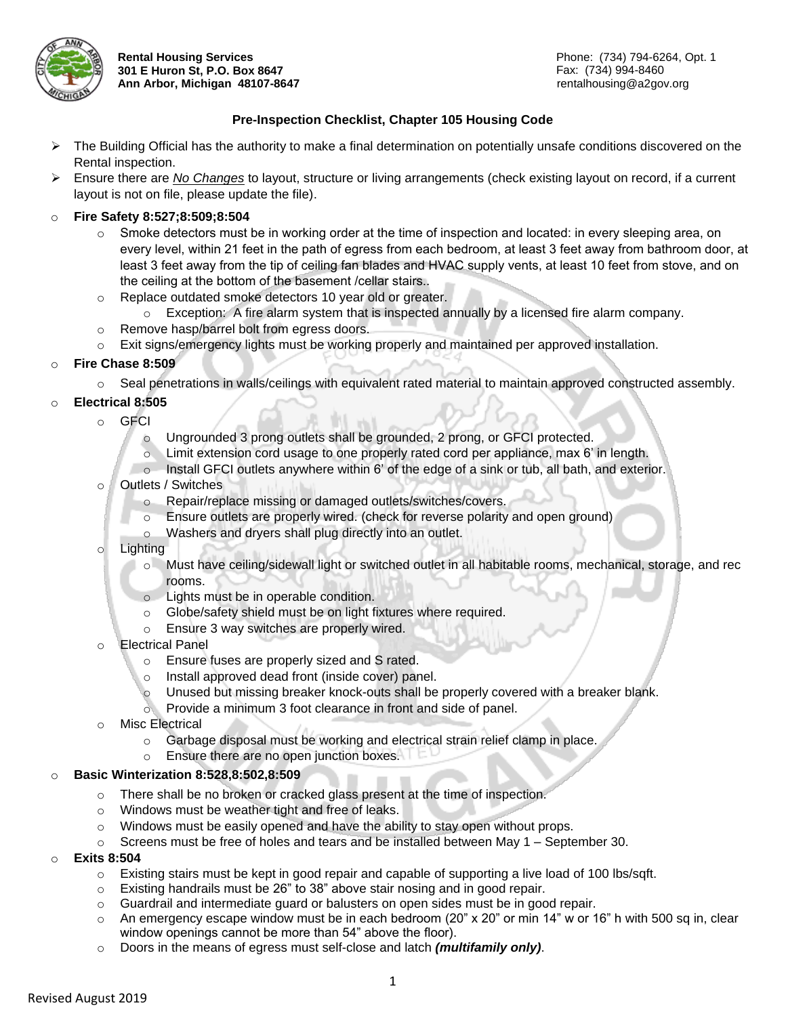

**Rental Housing Services 301 E Huron St, P.O. Box 8647 Ann Arbor, Michigan 48107-8647**

# **Pre-Inspection Checklist, Chapter 105 Housing Code**

- $\triangleright$  The Building Official has the authority to make a final determination on potentially unsafe conditions discovered on the Rental inspection.
- Ensure there are *No Changes* to layout, structure or living arrangements (check existing layout on record, if a current layout is not on file, please update the file).

## o **Fire Safety 8:527;8:509;8:504**

- $\circ$  Smoke detectors must be in working order at the time of inspection and located: in every sleeping area, on every level, within 21 feet in the path of egress from each bedroom, at least 3 feet away from bathroom door, at least 3 feet away from the tip of ceiling fan blades and HVAC supply vents, at least 10 feet from stove, and on the ceiling at the bottom of the basement /cellar stairs..
- o Replace outdated smoke detectors 10 year old or greater.
	- $\circ$  Exception: A fire alarm system that is inspected annually by a licensed fire alarm company.
- o Remove hasp/barrel bolt from egress doors.
- o Exit signs/emergency lights must be working properly and maintained per approved installation.

## o **Fire Chase 8:509**

o Seal penetrations in walls/ceilings with equivalent rated material to maintain approved constructed assembly.

# o **Electrical 8:505**

- o GFCI
	- o Ungrounded 3 prong outlets shall be grounded, 2 prong, or GFCI protected.
	- $\circ$  Limit extension cord usage to one properly rated cord per appliance, max 6' in length.
	- o Install GFCI outlets anywhere within 6' of the edge of a sink or tub, all bath, and exterior.
- o Outlets / Switches
	- o Repair/replace missing or damaged outlets/switches/covers.
		- Ensure outlets are properly wired. (check for reverse polarity and open ground)
		- Washers and dryers shall plug directly into an outlet.
- o Lighting
	- o Must have ceiling/sidewall light or switched outlet in all habitable rooms, mechanical, storage, and rec rooms.
	- o Lights must be in operable condition.
	- o Globe/safety shield must be on light fixtures where required.
	- o Ensure 3 way switches are properly wired.
- o Electrical Panel
	- o Ensure fuses are properly sized and S rated.
	- o Install approved dead front (inside cover) panel.
	- o Unused but missing breaker knock-outs shall be properly covered with a breaker blank.
	- o Provide a minimum 3 foot clearance in front and side of panel.
- o Misc Electrical
	- o Garbage disposal must be working and electrical strain relief clamp in place.
	- o Ensure there are no open junction boxes.

## o **Basic Winterization 8:528,8:502,8:509**

- o There shall be no broken or cracked glass present at the time of inspection.
- o Windows must be weather tight and free of leaks.
- o Windows must be easily opened and have the ability to stay open without props.
- $\circ$  Screens must be free of holes and tears and be installed between May 1 September 30.
- o **Exits 8:504**
	- $\circ$  Existing stairs must be kept in good repair and capable of supporting a live load of 100 lbs/sqft.
	- o Existing handrails must be 26" to 38" above stair nosing and in good repair.
	- o Guardrail and intermediate guard or balusters on open sides must be in good repair.
	- $\circ$  An emergency escape window must be in each bedroom (20" x 20" or min 14" w or 16" h with 500 sq in, clear window openings cannot be more than 54" above the floor).
	- o Doors in the means of egress must self-close and latch *(multifamily only)*.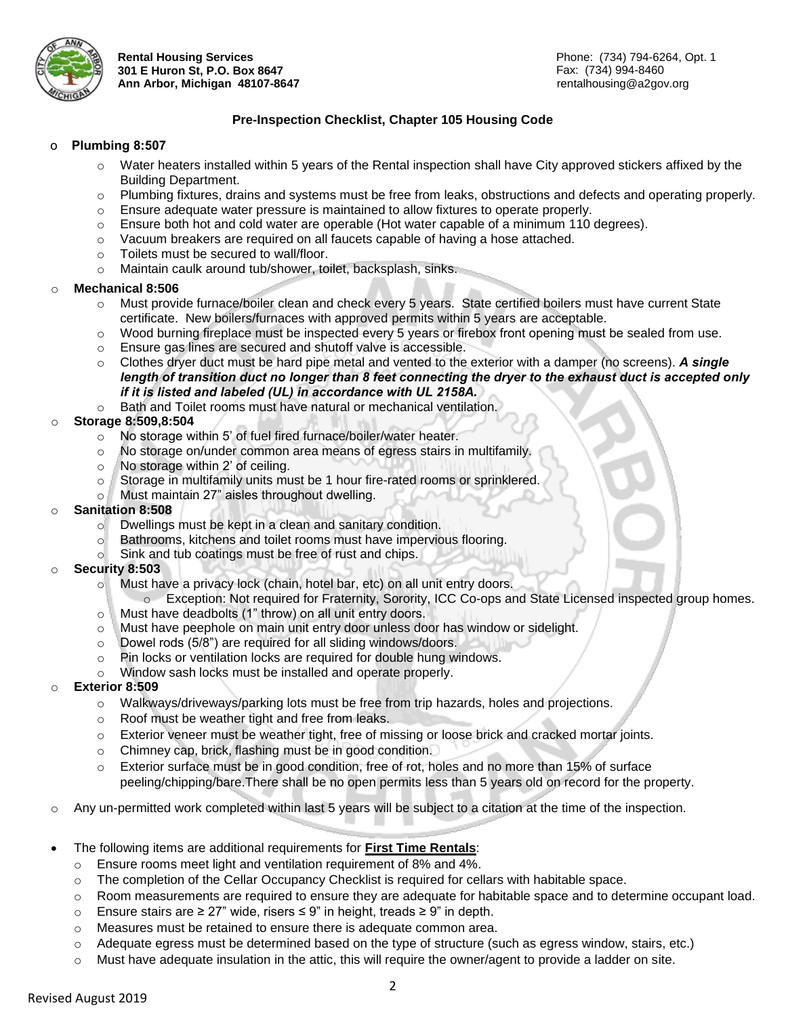

**Rental Housing Services 301 E Huron St, P.O. Box 8647 Ann Arbor, Michigan 48107-8647**

# **Pre-Inspection Checklist, Chapter 105 Housing Code**

#### o **Plumbing 8:507**

- o Water heaters installed within 5 years of the Rental inspection shall have City approved stickers affixed by the Building Department.
- o Plumbing fixtures, drains and systems must be free from leaks, obstructions and defects and operating properly.
- $\circ$  Ensure adequate water pressure is maintained to allow fixtures to operate properly.
- o Ensure both hot and cold water are operable (Hot water capable of a minimum 110 degrees).
- o Vacuum breakers are required on all faucets capable of having a hose attached.
- o Toilets must be secured to wall/floor.
- o Maintain caulk around tub/shower, toilet, backsplash, sinks.

#### o **Mechanical 8:506**

- o Must provide furnace/boiler clean and check every 5 years. State certified boilers must have current State certificate. New boilers/furnaces with approved permits within 5 years are acceptable.
- o Wood burning fireplace must be inspected every 5 years or firebox front opening must be sealed from use.
- o Ensure gas lines are secured and shutoff valve is accessible.
- o Clothes dryer duct must be hard pipe metal and vented to the exterior with a damper (no screens). *A single length of transition duct no longer than 8 feet connecting the dryer to the exhaust duct is accepted only if it is listed and labeled (UL) in accordance with UL 2158A.*
- o Bath and Toilet rooms must have natural or mechanical ventilation.

# o **Storage 8:509,8:504**

- o No storage within 5' of fuel fired furnace/boiler/water heater.
- o No storage on/under common area means of egress stairs in multifamily.
- o No storage within 2' of ceiling.
- o Storage in multifamily units must be 1 hour fire-rated rooms or sprinklered.
- o Must maintain 27" aisles throughout dwelling.
- o **Sanitation 8:508**
	- o Dwellings must be kept in a clean and sanitary condition.
	- o Bathrooms, kitchens and toilet rooms must have impervious flooring.
	- o Sink and tub coatings must be free of rust and chips.

#### o **Security 8:503**

- o Must have a privacy lock (chain, hotel bar, etc) on all unit entry doors.
	- o Exception: Not required for Fraternity, Sorority, ICC Co-ops and State Licensed inspected group homes.
- o Must have deadbolts (1" throw) on all unit entry doors.
- o Must have peephole on main unit entry door unless door has window or sidelight.
- o Dowel rods (5/8") are required for all sliding windows/doors.
- o Pin locks or ventilation locks are required for double hung windows.
- o Window sash locks must be installed and operate properly.

## **Exterior 8:509**

- o Walkways/driveways/parking lots must be free from trip hazards, holes and projections.
- o Roof must be weather tight and free from leaks.
- o Exterior veneer must be weather tight, free of missing or loose brick and cracked mortar joints.
- o Chimney cap, brick, flashing must be in good condition.
- o Exterior surface must be in good condition, free of rot, holes and no more than 15% of surface peeling/chipping/bare.There shall be no open permits less than 5 years old on record for the property.
- Any un-permitted work completed within last 5 years will be subject to a citation at the time of the inspection.
- The following items are additional requirements for **First Time Rentals**:
	- o Ensure rooms meet light and ventilation requirement of 8% and 4%.
	- o The completion of the Cellar Occupancy Checklist is required for cellars with habitable space.
	- o Room measurements are required to ensure they are adequate for habitable space and to determine occupant load.
	- o Ensure stairs are ≥ 27" wide, risers ≤ 9" in height, treads ≥ 9" in depth.
	- $\circ$  Measures must be retained to ensure there is adequate common area.
	- o Adequate egress must be determined based on the type of structure (such as egress window, stairs, etc.)
	- o Must have adequate insulation in the attic, this will require the owner/agent to provide a ladder on site.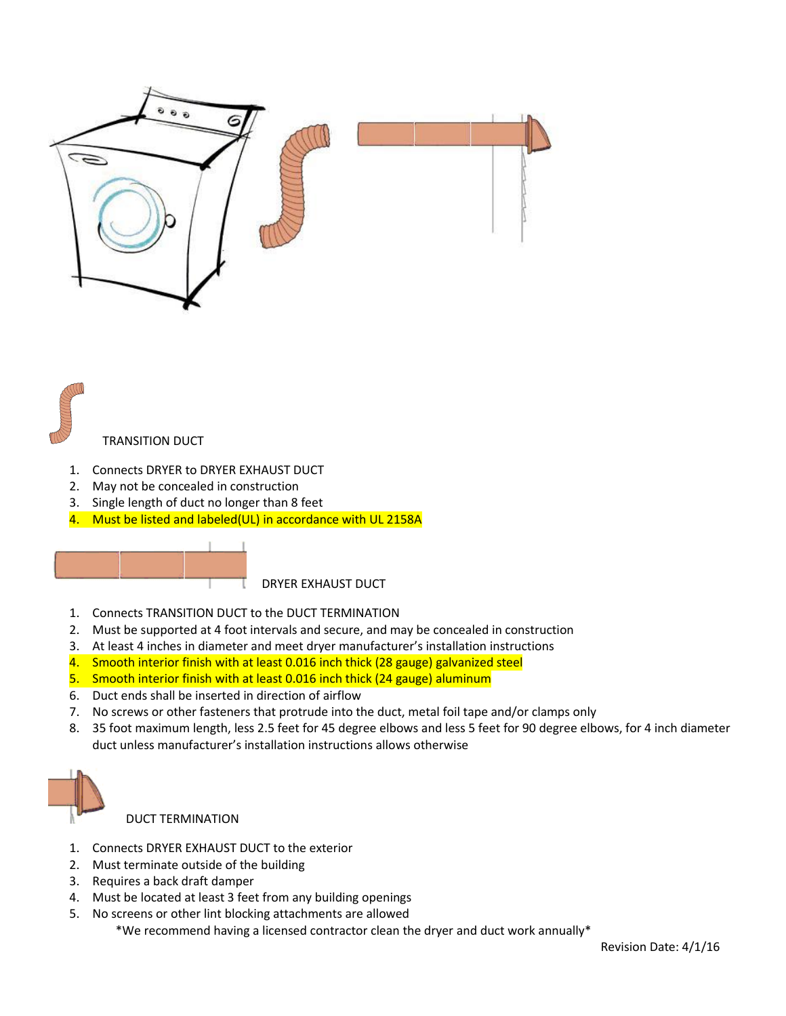

# TRANSITION DUCT

- 1. Connects DRYER to DRYER EXHAUST DUCT
- 2. May not be concealed in construction
- 3. Single length of duct no longer than 8 feet
- 4. Must be listed and labeled(UL) in accordance with UL 2158A



DRYER EXHAUST DUCT

- 1. Connects TRANSITION DUCT to the DUCT TERMINATION
- 2. Must be supported at 4 foot intervals and secure, and may be concealed in construction
- 3. At least 4 inches in diameter and meet dryer manufacturer's installation instructions
- 4. Smooth interior finish with at least 0.016 inch thick (28 gauge) galvanized steel
- 5. Smooth interior finish with at least 0.016 inch thick (24 gauge) aluminum
- 6. Duct ends shall be inserted in direction of airflow
- 7. No screws or other fasteners that protrude into the duct, metal foil tape and/or clamps only
- 8. 35 foot maximum length, less 2.5 feet for 45 degree elbows and less 5 feet for 90 degree elbows, for 4 inch diameter duct unless manufacturer's installation instructions allows otherwise



DUCT TERMINATION

- 1. Connects DRYER EXHAUST DUCT to the exterior
- 2. Must terminate outside of the building
- 3. Requires a back draft damper
- 4. Must be located at least 3 feet from any building openings
- 5. No screens or other lint blocking attachments are allowed

\*We recommend having a licensed contractor clean the dryer and duct work annually\*